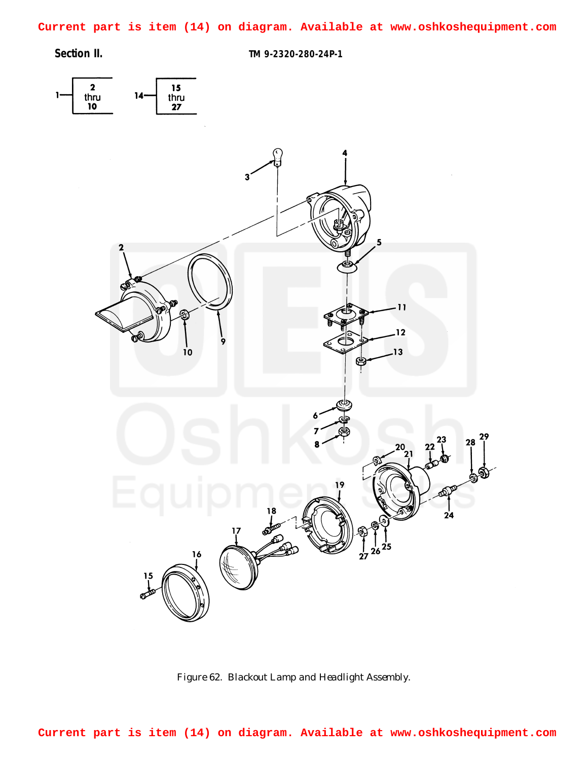<span id="page-0-0"></span>**Current part is item (14) on diagram. Available at www.oshkoshequipment.com**

**Section II. TM 9-2320-280-24P-1**



*Figure 62. Blackout Lamp and Headlight Assembly.*

**Current part is item (14) on diagram. Available at www.oshkoshequipment.com**